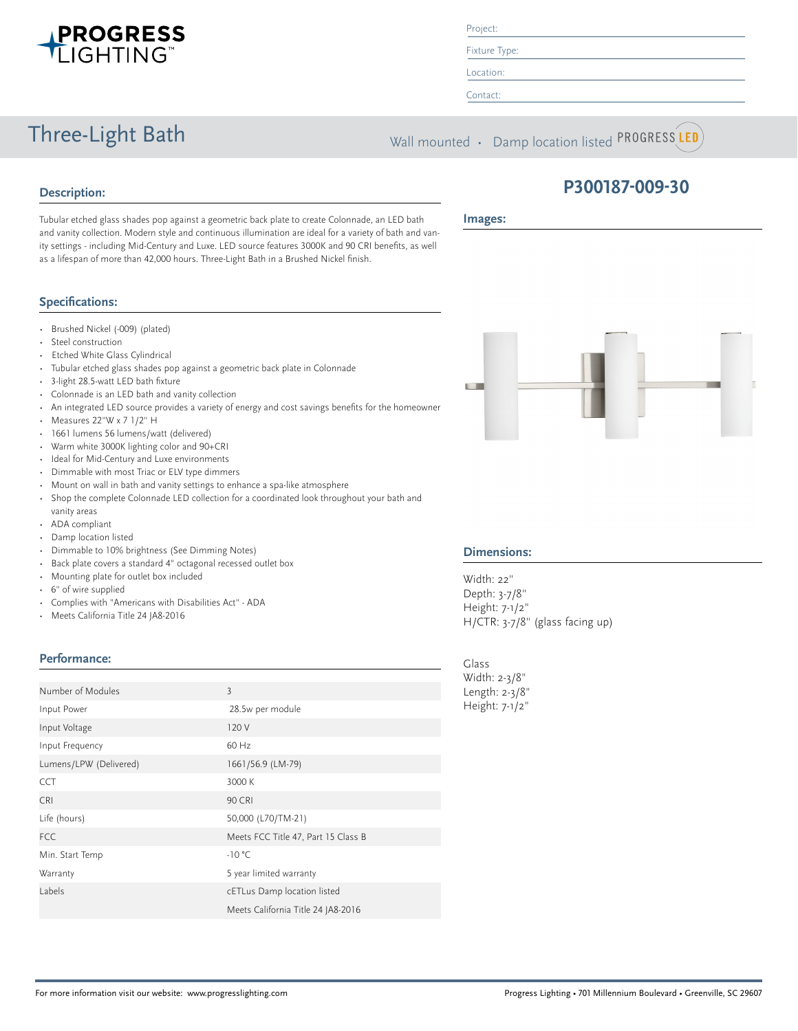

#### Project:

Fixture Type:

Location:

Contact:

Three-Light Bath Wall mounted • Damp location listed PROGRESS LED

## **Description:**

**Images:**

Tubular etched glass shades pop against a geometric back plate to create Colonnade, an LED bath and vanity collection. Modern style and continuous illumination are ideal for a variety of bath and vanity settings - including Mid-Century and Luxe. LED source features 3000K and 90 CRI benefits, as well as a lifespan of more than 42,000 hours. Three-Light Bath in a Brushed Nickel finish.

### **Specifications:**

- Brushed Nickel (-009) (plated)
- Steel construction
- Etched White Glass Cylindrical
- Tubular etched glass shades pop against a geometric back plate in Colonnade
- 3-light 28.5-watt LED bath fixture
- Colonnade is an LED bath and vanity collection
- An integrated LED source provides a variety of energy and cost savings benefits for the homeowner
- Measures 22"W x 7 1/2" H
- 1661 lumens 56 lumens/watt (delivered)
- Warm white 3000K lighting color and 90+CRI
- Ideal for Mid-Century and Luxe environments
- Dimmable with most Triac or ELV type dimmers
- Mount on wall in bath and vanity settings to enhance a spa-like atmosphere
- Shop the complete Colonnade LED collection for a coordinated look throughout your bath and vanity areas
- ADA compliant
- Damp location listed
- Dimmable to 10% brightness (See Dimming Notes)
- Back plate covers a standard 4" octagonal recessed outlet box
- Mounting plate for outlet box included
- 6" of wire supplied
- Complies with "Americans with Disabilities Act" ADA
- Meets California Title 24 JA8-2016

#### **Performance:**

| Number of Modules      | 3                                   |
|------------------------|-------------------------------------|
| Input Power            | 28.5w per module                    |
| Input Voltage          | 120 V                               |
| Input Frequency        | 60 Hz                               |
| Lumens/LPW (Delivered) | 1661/56.9 (LM-79)                   |
| <b>CCT</b>             | 3000 K                              |
| <b>CRI</b>             | <b>90 CRI</b>                       |
| Life (hours)           | 50,000 (L70/TM-21)                  |
| <b>FCC</b>             | Meets FCC Title 47, Part 15 Class B |
| Min. Start Temp        | $-10 °C$                            |
| Warranty               | 5 year limited warranty             |
| Labels                 | cETLus Damp location listed         |
|                        | Meets California Title 24 JA8-2016  |



**P300187-009-30**

#### **Dimensions:**

Width: 22" Depth: 3-7/8" Height: 7-1/2" H/CTR: 3-7/8" (glass facing up)

Glass Width: 2-3/8" Length: 2-3/8" Height: 7-1/2"